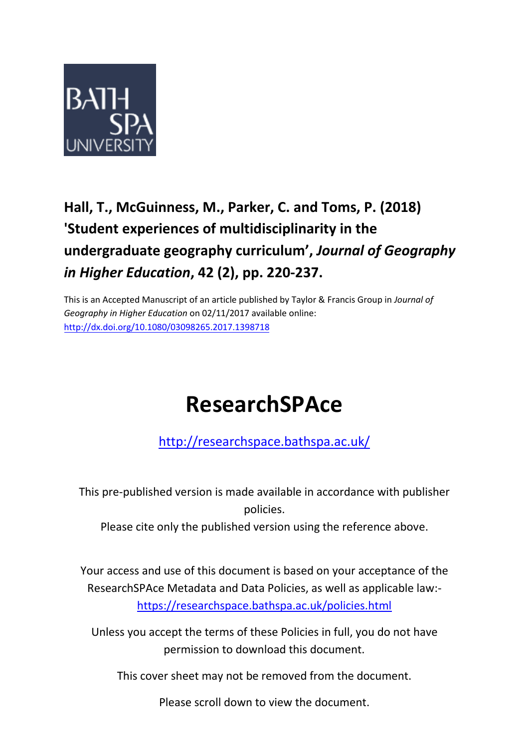

# **Hall, T., McGuinness, M., Parker, C. and Toms, P. (2018) 'Student experiences of multidisciplinarity in the undergraduate geography curriculum' ,** *Journal of Geography in Higher Education***, 42 (2), pp. 220-237.**

This is an Accepted Manuscript of an article published by Taylor & Francis Group in *Journal of Geography in Higher Education* on 02/11/2017 available online: <http://dx.doi.org/10.1080/03098265.2017.1398718>

# **ResearchSPAce**

<http://researchspace.bathspa.ac.uk/>

This pre-published version is made available in accordance with publisher policies.

Please cite only the published version using the reference above.

Your access and use of this document is based on your acceptance of the ResearchSPAce Metadata and Data Policies, as well as applicable law: https://researchspace.bathspa.ac.uk/policies.html

Unless you accept the terms of these Policies in full, you do not have permission to download this document.

This cover sheet may not be removed from the document.

Please scroll down to view the document.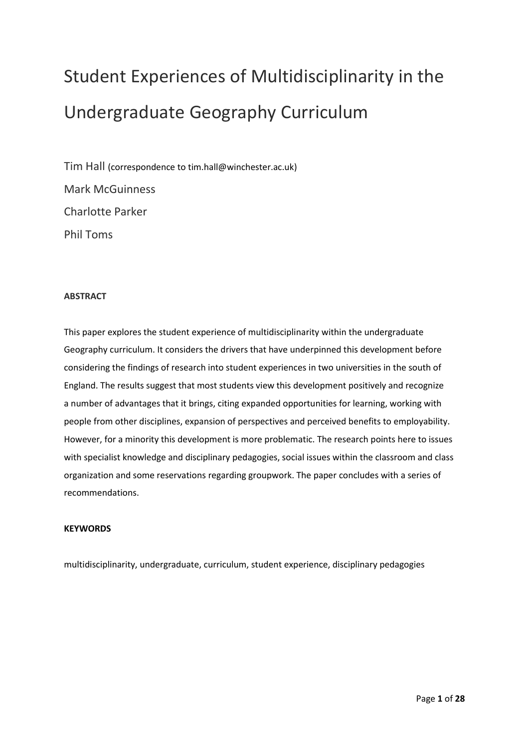# Student Experiences of Multidisciplinarity in the Undergraduate Geography Curriculum

Tim Hall (correspondence to tim.hall@winchester.ac.uk) Mark McGuinness Charlotte Parker Phil Toms

# **ABSTRACT**

This paper explores the student experience of multidisciplinarity within the undergraduate Geography curriculum. It considers the drivers that have underpinned this development before considering the findings of research into student experiences in two universities in the south of England. The results suggest that most students view this development positively and recognize a number of advantages that it brings, citing expanded opportunities for learning, working with people from other disciplines, expansion of perspectives and perceived benefits to employability. However, for a minority this development is more problematic. The research points here to issues with specialist knowledge and disciplinary pedagogies, social issues within the classroom and class organization and some reservations regarding groupwork. The paper concludes with a series of recommendations.

# **KEYWORDS**

multidisciplinarity, undergraduate, curriculum, student experience, disciplinary pedagogies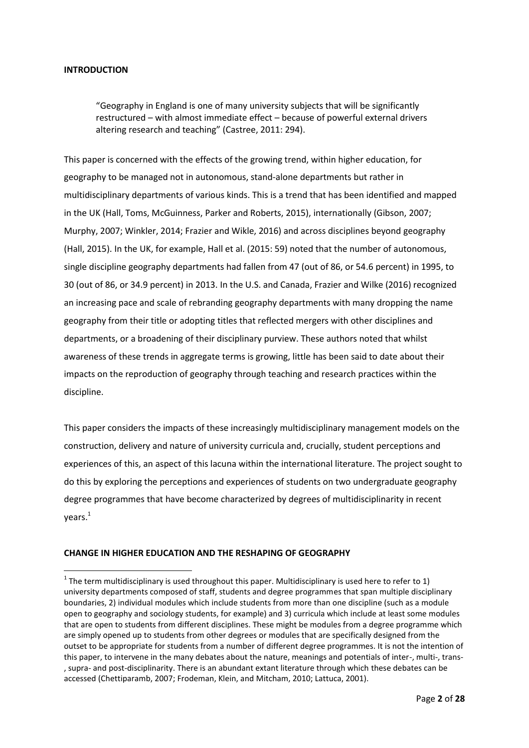# **INTRODUCTION**

**.** 

"Geography in England is one of many university subjects that will be significantly restructured – with almost immediate effect – because of powerful external drivers altering research and teaching" (Castree, 2011: 294).

This paper is concerned with the effects of the growing trend, within higher education, for geography to be managed not in autonomous, stand-alone departments but rather in multidisciplinary departments of various kinds. This is a trend that has been identified and mapped in the UK (Hall, Toms, McGuinness, Parker and Roberts, 2015), internationally (Gibson, 2007; Murphy, 2007; Winkler, 2014; Frazier and Wikle, 2016) and across disciplines beyond geography (Hall, 2015). In the UK, for example, Hall et al. (2015: 59) noted that the number of autonomous, single discipline geography departments had fallen from 47 (out of 86, or 54.6 percent) in 1995, to 30 (out of 86, or 34.9 percent) in 2013. In the U.S. and Canada, Frazier and Wilke (2016) recognized an increasing pace and scale of rebranding geography departments with many dropping the name geography from their title or adopting titles that reflected mergers with other disciplines and departments, or a broadening of their disciplinary purview. These authors noted that whilst awareness of these trends in aggregate terms is growing, little has been said to date about their impacts on the reproduction of geography through teaching and research practices within the discipline.

This paper considers the impacts of these increasingly multidisciplinary management models on the construction, delivery and nature of university curricula and, crucially, student perceptions and experiences of this, an aspect of this lacuna within the international literature. The project sought to do this by exploring the perceptions and experiences of students on two undergraduate geography degree programmes that have become characterized by degrees of multidisciplinarity in recent years. 1

#### **CHANGE IN HIGHER EDUCATION AND THE RESHAPING OF GEOGRAPHY**

 $1$  The term multidisciplinary is used throughout this paper. Multidisciplinary is used here to refer to 1) university departments composed of staff, students and degree programmes that span multiple disciplinary boundaries, 2) individual modules which include students from more than one discipline (such as a module open to geography and sociology students, for example) and 3) curricula which include at least some modules that are open to students from different disciplines. These might be modules from a degree programme which are simply opened up to students from other degrees or modules that are specifically designed from the outset to be appropriate for students from a number of different degree programmes. It is not the intention of this paper, to intervene in the many debates about the nature, meanings and potentials of inter-, multi-, trans- , supra- and post-disciplinarity. There is an abundant extant literature through which these debates can be accessed (Chettiparamb, 2007; Frodeman, Klein, and Mitcham, 2010; Lattuca, 2001).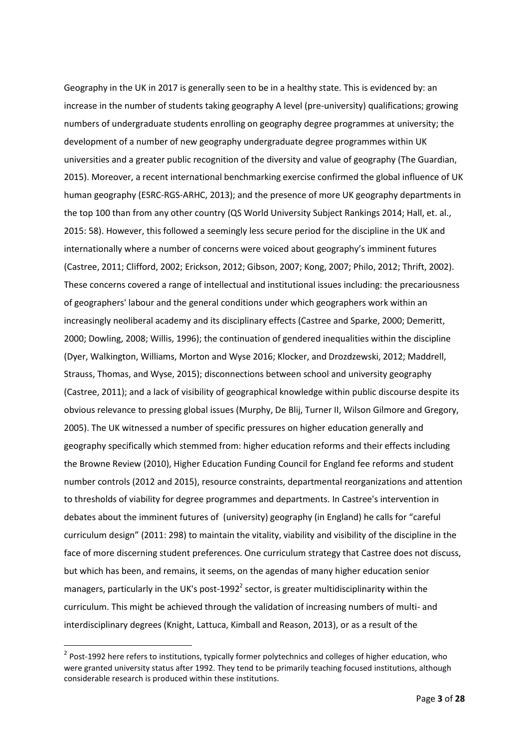Geography in the UK in 2017 is generally seen to be in a healthy state. This is evidenced by: an increase in the number of students taking geography A level (pre-university) qualifications; growing numbers of undergraduate students enrolling on geography degree programmes at university; the development of a number of new geography undergraduate degree programmes within UK universities and a greater public recognition of the diversity and value of geography (The Guardian, 2015). Moreover, a recent international benchmarking exercise confirmed the global influence of UK human geography (ESRC-RGS-ARHC, 2013); and the presence of more UK geography departments in the top 100 than from any other country (QS World University Subject Rankings 2014; Hall, et. al., 2015: 58). However, this followed a seemingly less secure period for the discipline in the UK and internationally where a number of concerns were voiced about geography's imminent futures (Castree, 2011; Clifford, 2002; Erickson, 2012; Gibson, 2007; Kong, 2007; Philo, 2012; Thrift, 2002). These concerns covered a range of intellectual and institutional issues including: the precariousness of geographers' labour and the general conditions under which geographers work within an increasingly neoliberal academy and its disciplinary effects (Castree and Sparke, 2000; Demeritt, 2000; Dowling, 2008; Willis, 1996); the continuation of gendered inequalities within the discipline (Dyer, Walkington, Williams, Morton and Wyse 2016; Klocker, and Drozdzewski, 2012; Maddrell, Strauss, Thomas, and Wyse, 2015); disconnections between school and university geography (Castree, 2011); and a lack of visibility of geographical knowledge within public discourse despite its obvious relevance to pressing global issues (Murphy, De Blij, Turner II, Wilson Gilmore and Gregory, 2005). The UK witnessed a number of specific pressures on higher education generally and geography specifically which stemmed from: higher education reforms and their effects including the Browne Review (2010), Higher Education Funding Council for England fee reforms and student number controls (2012 and 2015), resource constraints, departmental reorganizations and attention to thresholds of viability for degree programmes and departments. In Castree's intervention in debates about the imminent futures of (university) geography (in England) he calls for "careful curriculum design" (2011: 298) to maintain the vitality, viability and visibility of the discipline in the face of more discerning student preferences. One curriculum strategy that Castree does not discuss, but which has been, and remains, it seems, on the agendas of many higher education senior managers, particularly in the UK's post-1992<sup>2</sup> sector, is greater multidisciplinarity within the curriculum. This might be achieved through the validation of increasing numbers of multi- and interdisciplinary degrees (Knight, Lattuca, Kimball and Reason, 2013), or as a result of the

 $\overline{a}$ 

<sup>&</sup>lt;sup>2</sup> Post-1992 here refers to institutions, typically former polytechnics and colleges of higher education, who were granted university status after 1992. They tend to be primarily teaching focused institutions, although considerable research is produced within these institutions.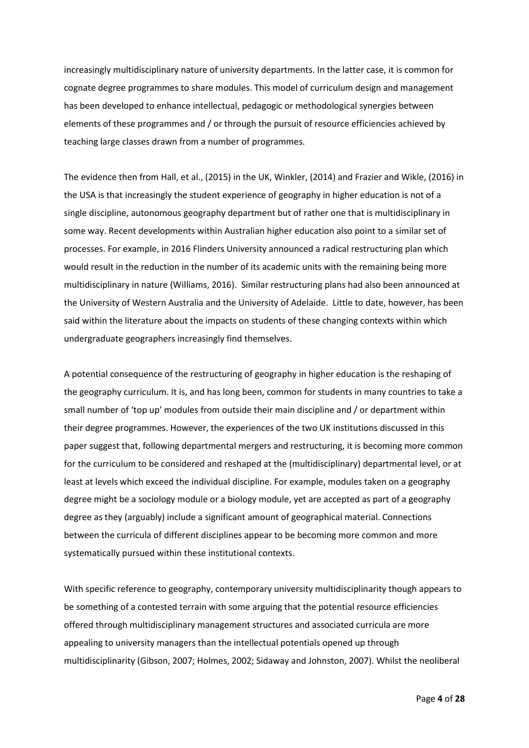increasingly multidisciplinary nature of university departments. In the latter case, it is common for cognate degree programmes to share modules. This model of curriculum design and management has been developed to enhance intellectual, pedagogic or methodological synergies between elements of these programmes and / or through the pursuit of resource efficiencies achieved by teaching large classes drawn from a number of programmes.

The evidence then from Hall, et al., (2015) in the UK, Winkler, (2014) and Frazier and Wikle, (2016) in the USA is that increasingly the student experience of geography in higher education is not of a single discipline, autonomous geography department but of rather one that is multidisciplinary in some way. Recent developments within Australian higher education also point to a similar set of processes. For example, in 2016 Flinders University announced a radical restructuring plan which would result in the reduction in the number of its academic units with the remaining being more multidisciplinary in nature (Williams, 2016). Similar restructuring plans had also been announced at the University of Western Australia and the University of Adelaide. Little to date, however, has been said within the literature about the impacts on students of these changing contexts within which undergraduate geographers increasingly find themselves.

A potential consequence of the restructuring of geography in higher education is the reshaping of the geography curriculum. It is, and has long been, common for students in many countries to take a small number of 'top up' modules from outside their main discipline and / or department within their degree programmes. However, the experiences of the two UK institutions discussed in this paper suggest that, following departmental mergers and restructuring, it is becoming more common for the curriculum to be considered and reshaped at the (multidisciplinary) departmental level, or at least at levels which exceed the individual discipline. For example, modules taken on a geography degree might be a sociology module or a biology module, yet are accepted as part of a geography degree as they (arguably) include a significant amount of geographical material. Connections between the curricula of different disciplines appear to be becoming more common and more systematically pursued within these institutional contexts.

With specific reference to geography, contemporary university multidisciplinarity though appears to be something of a contested terrain with some arguing that the potential resource efficiencies offered through multidisciplinary management structures and associated curricula are more appealing to university managers than the intellectual potentials opened up through multidisciplinarity (Gibson, 2007; Holmes, 2002; Sidaway and Johnston, 2007). Whilst the neoliberal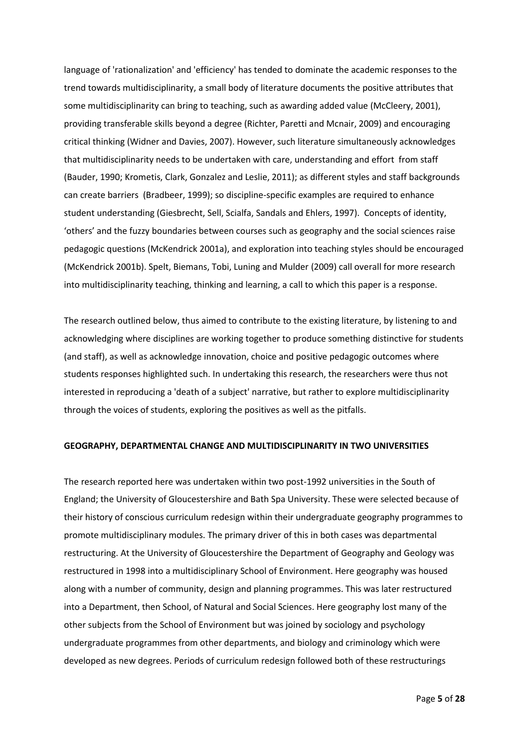language of 'rationalization' and 'efficiency' has tended to dominate the academic responses to the trend towards multidisciplinarity, a small body of literature documents the positive attributes that some multidisciplinarity can bring to teaching, such as awarding added value (McCleery, 2001), providing transferable skills beyond a degree (Richter, Paretti and Mcnair, 2009) and encouraging critical thinking (Widner and Davies, 2007). However, such literature simultaneously acknowledges that multidisciplinarity needs to be undertaken with care, understanding and effort from staff (Bauder, 1990; Krometis, Clark, Gonzalez and Leslie, 2011); as different styles and staff backgrounds can create barriers (Bradbeer, 1999); so discipline-specific examples are required to enhance student understanding (Giesbrecht, Sell, Scialfa, Sandals and Ehlers, 1997). Concepts of identity, 'others' and the fuzzy boundaries between courses such as geography and the social sciences raise pedagogic questions (McKendrick 2001a), and exploration into teaching styles should be encouraged (McKendrick 2001b). Spelt, Biemans, Tobi, Luning and Mulder (2009) call overall for more research into multidisciplinarity teaching, thinking and learning, a call to which this paper is a response.

The research outlined below, thus aimed to contribute to the existing literature, by listening to and acknowledging where disciplines are working together to produce something distinctive for students (and staff), as well as acknowledge innovation, choice and positive pedagogic outcomes where students responses highlighted such. In undertaking this research, the researchers were thus not interested in reproducing a 'death of a subject' narrative, but rather to explore multidisciplinarity through the voices of students, exploring the positives as well as the pitfalls.

#### **GEOGRAPHY, DEPARTMENTAL CHANGE AND MULTIDISCIPLINARITY IN TWO UNIVERSITIES**

The research reported here was undertaken within two post-1992 universities in the South of England; the University of Gloucestershire and Bath Spa University. These were selected because of their history of conscious curriculum redesign within their undergraduate geography programmes to promote multidisciplinary modules. The primary driver of this in both cases was departmental restructuring. At the University of Gloucestershire the Department of Geography and Geology was restructured in 1998 into a multidisciplinary School of Environment. Here geography was housed along with a number of community, design and planning programmes. This was later restructured into a Department, then School, of Natural and Social Sciences. Here geography lost many of the other subjects from the School of Environment but was joined by sociology and psychology undergraduate programmes from other departments, and biology and criminology which were developed as new degrees. Periods of curriculum redesign followed both of these restructurings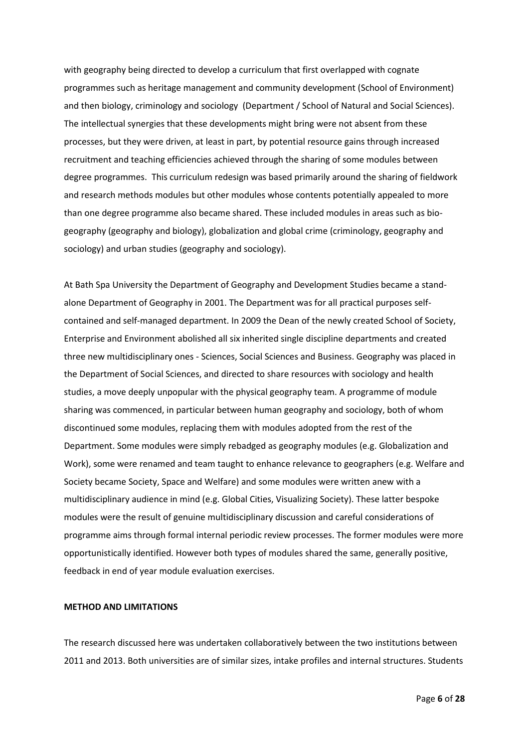with geography being directed to develop a curriculum that first overlapped with cognate programmes such as heritage management and community development (School of Environment) and then biology, criminology and sociology (Department / School of Natural and Social Sciences). The intellectual synergies that these developments might bring were not absent from these processes, but they were driven, at least in part, by potential resource gains through increased recruitment and teaching efficiencies achieved through the sharing of some modules between degree programmes. This curriculum redesign was based primarily around the sharing of fieldwork and research methods modules but other modules whose contents potentially appealed to more than one degree programme also became shared. These included modules in areas such as biogeography (geography and biology), globalization and global crime (criminology, geography and sociology) and urban studies (geography and sociology).

At Bath Spa University the Department of Geography and Development Studies became a standalone Department of Geography in 2001. The Department was for all practical purposes selfcontained and self-managed department. In 2009 the Dean of the newly created School of Society, Enterprise and Environment abolished all six inherited single discipline departments and created three new multidisciplinary ones - Sciences, Social Sciences and Business. Geography was placed in the Department of Social Sciences, and directed to share resources with sociology and health studies, a move deeply unpopular with the physical geography team. A programme of module sharing was commenced, in particular between human geography and sociology, both of whom discontinued some modules, replacing them with modules adopted from the rest of the Department. Some modules were simply rebadged as geography modules (e.g. Globalization and Work), some were renamed and team taught to enhance relevance to geographers (e.g. Welfare and Society became Society, Space and Welfare) and some modules were written anew with a multidisciplinary audience in mind (e.g. Global Cities, Visualizing Society). These latter bespoke modules were the result of genuine multidisciplinary discussion and careful considerations of programme aims through formal internal periodic review processes. The former modules were more opportunistically identified. However both types of modules shared the same, generally positive, feedback in end of year module evaluation exercises.

# **METHOD AND LIMITATIONS**

The research discussed here was undertaken collaboratively between the two institutions between 2011 and 2013. Both universities are of similar sizes, intake profiles and internal structures. Students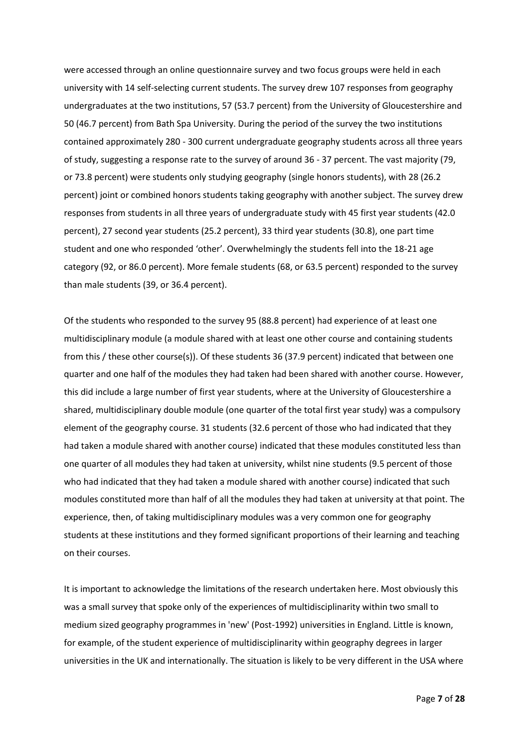were accessed through an online questionnaire survey and two focus groups were held in each university with 14 self-selecting current students. The survey drew 107 responses from geography undergraduates at the two institutions, 57 (53.7 percent) from the University of Gloucestershire and 50 (46.7 percent) from Bath Spa University. During the period of the survey the two institutions contained approximately 280 - 300 current undergraduate geography students across all three years of study, suggesting a response rate to the survey of around 36 - 37 percent. The vast majority (79, or 73.8 percent) were students only studying geography (single honors students), with 28 (26.2 percent) joint or combined honors students taking geography with another subject. The survey drew responses from students in all three years of undergraduate study with 45 first year students (42.0 percent), 27 second year students (25.2 percent), 33 third year students (30.8), one part time student and one who responded 'other'. Overwhelmingly the students fell into the 18-21 age category (92, or 86.0 percent). More female students (68, or 63.5 percent) responded to the survey than male students (39, or 36.4 percent).

Of the students who responded to the survey 95 (88.8 percent) had experience of at least one multidisciplinary module (a module shared with at least one other course and containing students from this / these other course(s)). Of these students 36 (37.9 percent) indicated that between one quarter and one half of the modules they had taken had been shared with another course. However, this did include a large number of first year students, where at the University of Gloucestershire a shared, multidisciplinary double module (one quarter of the total first year study) was a compulsory element of the geography course. 31 students (32.6 percent of those who had indicated that they had taken a module shared with another course) indicated that these modules constituted less than one quarter of all modules they had taken at university, whilst nine students (9.5 percent of those who had indicated that they had taken a module shared with another course) indicated that such modules constituted more than half of all the modules they had taken at university at that point. The experience, then, of taking multidisciplinary modules was a very common one for geography students at these institutions and they formed significant proportions of their learning and teaching on their courses.

It is important to acknowledge the limitations of the research undertaken here. Most obviously this was a small survey that spoke only of the experiences of multidisciplinarity within two small to medium sized geography programmes in 'new' (Post-1992) universities in England. Little is known, for example, of the student experience of multidisciplinarity within geography degrees in larger universities in the UK and internationally. The situation is likely to be very different in the USA where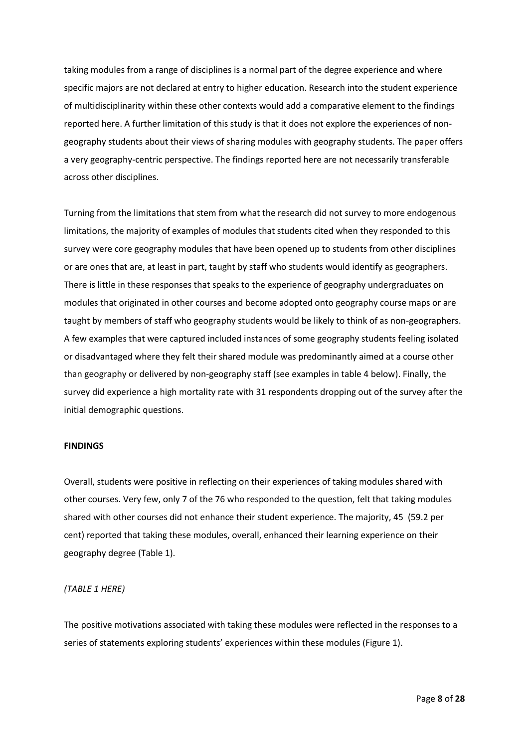taking modules from a range of disciplines is a normal part of the degree experience and where specific majors are not declared at entry to higher education. Research into the student experience of multidisciplinarity within these other contexts would add a comparative element to the findings reported here. A further limitation of this study is that it does not explore the experiences of nongeography students about their views of sharing modules with geography students. The paper offers a very geography-centric perspective. The findings reported here are not necessarily transferable across other disciplines.

Turning from the limitations that stem from what the research did not survey to more endogenous limitations, the majority of examples of modules that students cited when they responded to this survey were core geography modules that have been opened up to students from other disciplines or are ones that are, at least in part, taught by staff who students would identify as geographers. There is little in these responses that speaks to the experience of geography undergraduates on modules that originated in other courses and become adopted onto geography course maps or are taught by members of staff who geography students would be likely to think of as non-geographers. A few examples that were captured included instances of some geography students feeling isolated or disadvantaged where they felt their shared module was predominantly aimed at a course other than geography or delivered by non-geography staff (see examples in table 4 below). Finally, the survey did experience a high mortality rate with 31 respondents dropping out of the survey after the initial demographic questions.

#### **FINDINGS**

Overall, students were positive in reflecting on their experiences of taking modules shared with other courses. Very few, only 7 of the 76 who responded to the question, felt that taking modules shared with other courses did not enhance their student experience. The majority, 45 (59.2 per cent) reported that taking these modules, overall, enhanced their learning experience on their geography degree (Table 1).

#### *(TABLE 1 HERE)*

The positive motivations associated with taking these modules were reflected in the responses to a series of statements exploring students' experiences within these modules (Figure 1).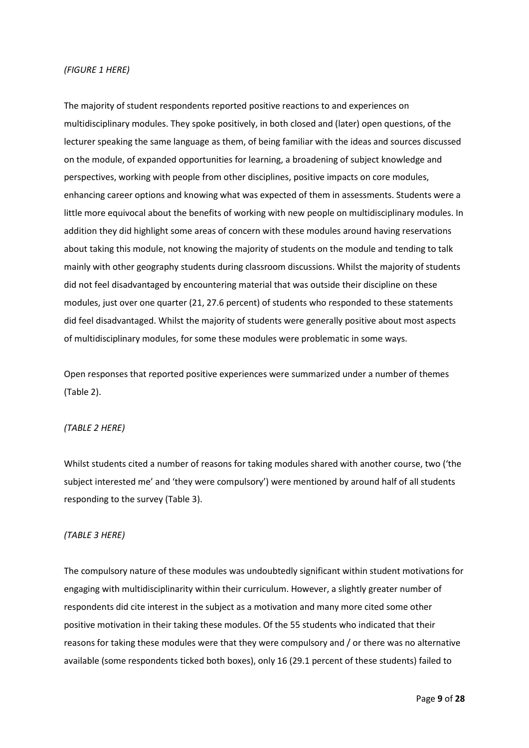#### *(FIGURE 1 HERE)*

The majority of student respondents reported positive reactions to and experiences on multidisciplinary modules. They spoke positively, in both closed and (later) open questions, of the lecturer speaking the same language as them, of being familiar with the ideas and sources discussed on the module, of expanded opportunities for learning, a broadening of subject knowledge and perspectives, working with people from other disciplines, positive impacts on core modules, enhancing career options and knowing what was expected of them in assessments. Students were a little more equivocal about the benefits of working with new people on multidisciplinary modules. In addition they did highlight some areas of concern with these modules around having reservations about taking this module, not knowing the majority of students on the module and tending to talk mainly with other geography students during classroom discussions. Whilst the majority of students did not feel disadvantaged by encountering material that was outside their discipline on these modules, just over one quarter (21, 27.6 percent) of students who responded to these statements did feel disadvantaged. Whilst the majority of students were generally positive about most aspects of multidisciplinary modules, for some these modules were problematic in some ways.

Open responses that reported positive experiences were summarized under a number of themes (Table 2).

#### *(TABLE 2 HERE)*

Whilst students cited a number of reasons for taking modules shared with another course, two ('the subject interested me' and 'they were compulsory') were mentioned by around half of all students responding to the survey (Table 3).

#### *(TABLE 3 HERE)*

The compulsory nature of these modules was undoubtedly significant within student motivations for engaging with multidisciplinarity within their curriculum. However, a slightly greater number of respondents did cite interest in the subject as a motivation and many more cited some other positive motivation in their taking these modules. Of the 55 students who indicated that their reasons for taking these modules were that they were compulsory and / or there was no alternative available (some respondents ticked both boxes), only 16 (29.1 percent of these students) failed to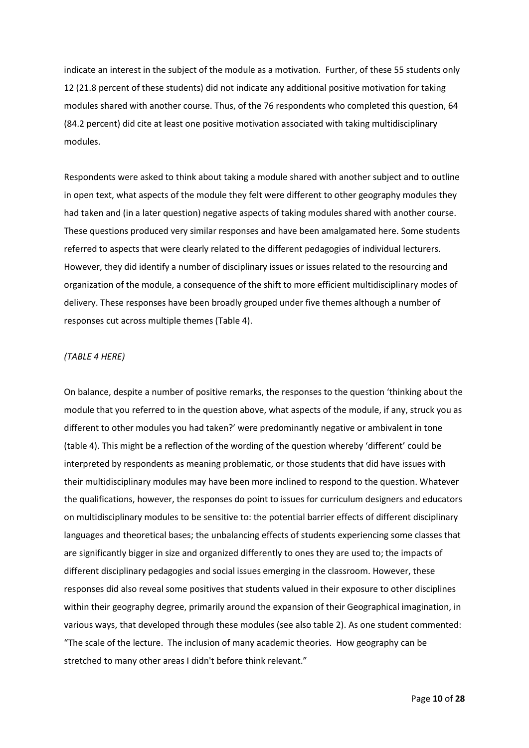indicate an interest in the subject of the module as a motivation. Further, of these 55 students only 12 (21.8 percent of these students) did not indicate any additional positive motivation for taking modules shared with another course. Thus, of the 76 respondents who completed this question, 64 (84.2 percent) did cite at least one positive motivation associated with taking multidisciplinary modules.

Respondents were asked to think about taking a module shared with another subject and to outline in open text, what aspects of the module they felt were different to other geography modules they had taken and (in a later question) negative aspects of taking modules shared with another course. These questions produced very similar responses and have been amalgamated here. Some students referred to aspects that were clearly related to the different pedagogies of individual lecturers. However, they did identify a number of disciplinary issues or issues related to the resourcing and organization of the module, a consequence of the shift to more efficient multidisciplinary modes of delivery. These responses have been broadly grouped under five themes although a number of responses cut across multiple themes (Table 4).

#### *(TABLE 4 HERE)*

On balance, despite a number of positive remarks, the responses to the question 'thinking about the module that you referred to in the question above, what aspects of the module, if any, struck you as different to other modules you had taken?' were predominantly negative or ambivalent in tone (table 4). This might be a reflection of the wording of the question whereby 'different' could be interpreted by respondents as meaning problematic, or those students that did have issues with their multidisciplinary modules may have been more inclined to respond to the question. Whatever the qualifications, however, the responses do point to issues for curriculum designers and educators on multidisciplinary modules to be sensitive to: the potential barrier effects of different disciplinary languages and theoretical bases; the unbalancing effects of students experiencing some classes that are significantly bigger in size and organized differently to ones they are used to; the impacts of different disciplinary pedagogies and social issues emerging in the classroom. However, these responses did also reveal some positives that students valued in their exposure to other disciplines within their geography degree, primarily around the expansion of their Geographical imagination, in various ways, that developed through these modules (see also table 2). As one student commented: "The scale of the lecture. The inclusion of many academic theories. How geography can be stretched to many other areas I didn't before think relevant."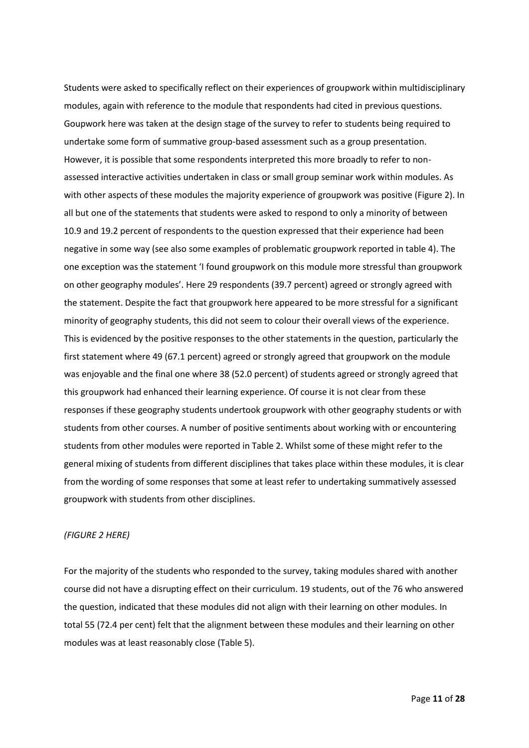Students were asked to specifically reflect on their experiences of groupwork within multidisciplinary modules, again with reference to the module that respondents had cited in previous questions. Goupwork here was taken at the design stage of the survey to refer to students being required to undertake some form of summative group-based assessment such as a group presentation. However, it is possible that some respondents interpreted this more broadly to refer to nonassessed interactive activities undertaken in class or small group seminar work within modules. As with other aspects of these modules the majority experience of groupwork was positive (Figure 2). In all but one of the statements that students were asked to respond to only a minority of between 10.9 and 19.2 percent of respondents to the question expressed that their experience had been negative in some way (see also some examples of problematic groupwork reported in table 4). The one exception was the statement 'I found groupwork on this module more stressful than groupwork on other geography modules'. Here 29 respondents (39.7 percent) agreed or strongly agreed with the statement. Despite the fact that groupwork here appeared to be more stressful for a significant minority of geography students, this did not seem to colour their overall views of the experience. This is evidenced by the positive responses to the other statements in the question, particularly the first statement where 49 (67.1 percent) agreed or strongly agreed that groupwork on the module was enjoyable and the final one where 38 (52.0 percent) of students agreed or strongly agreed that this groupwork had enhanced their learning experience. Of course it is not clear from these responses if these geography students undertook groupwork with other geography students or with students from other courses. A number of positive sentiments about working with or encountering students from other modules were reported in Table 2. Whilst some of these might refer to the general mixing of students from different disciplines that takes place within these modules, it is clear from the wording of some responses that some at least refer to undertaking summatively assessed groupwork with students from other disciplines.

# *(FIGURE 2 HERE)*

For the majority of the students who responded to the survey, taking modules shared with another course did not have a disrupting effect on their curriculum. 19 students, out of the 76 who answered the question, indicated that these modules did not align with their learning on other modules. In total 55 (72.4 per cent) felt that the alignment between these modules and their learning on other modules was at least reasonably close (Table 5).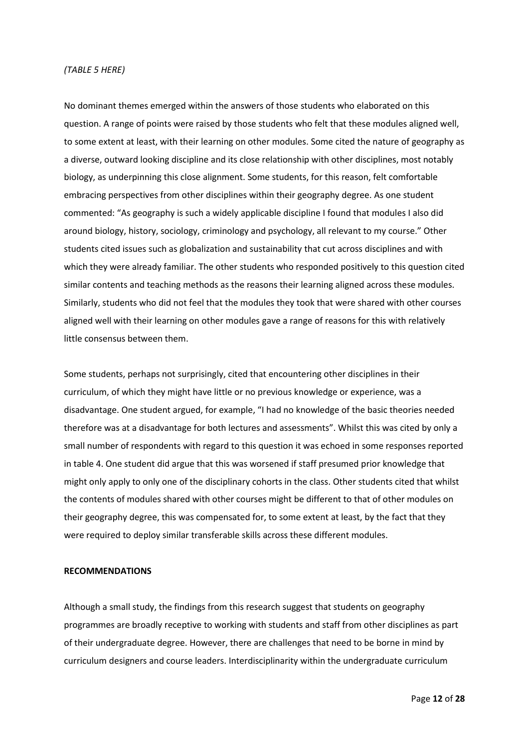# *(TABLE 5 HERE)*

No dominant themes emerged within the answers of those students who elaborated on this question. A range of points were raised by those students who felt that these modules aligned well, to some extent at least, with their learning on other modules. Some cited the nature of geography as a diverse, outward looking discipline and its close relationship with other disciplines, most notably biology, as underpinning this close alignment. Some students, for this reason, felt comfortable embracing perspectives from other disciplines within their geography degree. As one student commented: "As geography is such a widely applicable discipline I found that modules I also did around biology, history, sociology, criminology and psychology, all relevant to my course." Other students cited issues such as globalization and sustainability that cut across disciplines and with which they were already familiar. The other students who responded positively to this question cited similar contents and teaching methods as the reasons their learning aligned across these modules. Similarly, students who did not feel that the modules they took that were shared with other courses aligned well with their learning on other modules gave a range of reasons for this with relatively little consensus between them.

Some students, perhaps not surprisingly, cited that encountering other disciplines in their curriculum, of which they might have little or no previous knowledge or experience, was a disadvantage. One student argued, for example, "I had no knowledge of the basic theories needed therefore was at a disadvantage for both lectures and assessments". Whilst this was cited by only a small number of respondents with regard to this question it was echoed in some responses reported in table 4. One student did argue that this was worsened if staff presumed prior knowledge that might only apply to only one of the disciplinary cohorts in the class. Other students cited that whilst the contents of modules shared with other courses might be different to that of other modules on their geography degree, this was compensated for, to some extent at least, by the fact that they were required to deploy similar transferable skills across these different modules.

#### **RECOMMENDATIONS**

Although a small study, the findings from this research suggest that students on geography programmes are broadly receptive to working with students and staff from other disciplines as part of their undergraduate degree. However, there are challenges that need to be borne in mind by curriculum designers and course leaders. Interdisciplinarity within the undergraduate curriculum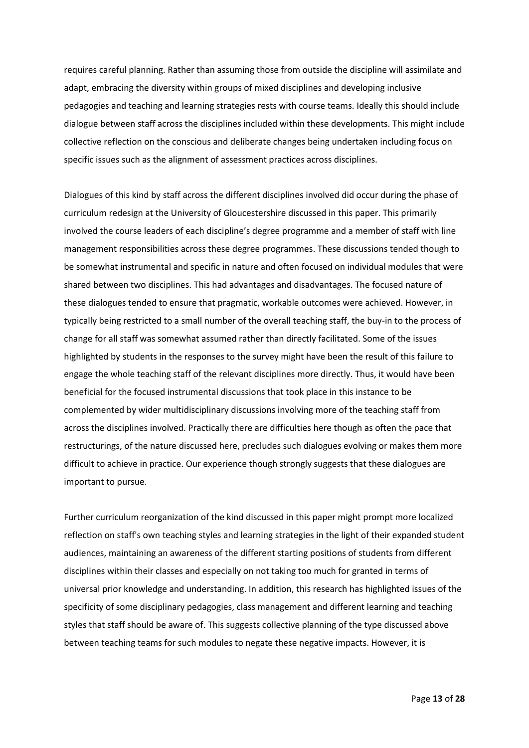requires careful planning. Rather than assuming those from outside the discipline will assimilate and adapt, embracing the diversity within groups of mixed disciplines and developing inclusive pedagogies and teaching and learning strategies rests with course teams. Ideally this should include dialogue between staff across the disciplines included within these developments. This might include collective reflection on the conscious and deliberate changes being undertaken including focus on specific issues such as the alignment of assessment practices across disciplines.

Dialogues of this kind by staff across the different disciplines involved did occur during the phase of curriculum redesign at the University of Gloucestershire discussed in this paper. This primarily involved the course leaders of each discipline's degree programme and a member of staff with line management responsibilities across these degree programmes. These discussions tended though to be somewhat instrumental and specific in nature and often focused on individual modules that were shared between two disciplines. This had advantages and disadvantages. The focused nature of these dialogues tended to ensure that pragmatic, workable outcomes were achieved. However, in typically being restricted to a small number of the overall teaching staff, the buy-in to the process of change for all staff was somewhat assumed rather than directly facilitated. Some of the issues highlighted by students in the responses to the survey might have been the result of this failure to engage the whole teaching staff of the relevant disciplines more directly. Thus, it would have been beneficial for the focused instrumental discussions that took place in this instance to be complemented by wider multidisciplinary discussions involving more of the teaching staff from across the disciplines involved. Practically there are difficulties here though as often the pace that restructurings, of the nature discussed here, precludes such dialogues evolving or makes them more difficult to achieve in practice. Our experience though strongly suggests that these dialogues are important to pursue.

Further curriculum reorganization of the kind discussed in this paper might prompt more localized reflection on staff's own teaching styles and learning strategies in the light of their expanded student audiences, maintaining an awareness of the different starting positions of students from different disciplines within their classes and especially on not taking too much for granted in terms of universal prior knowledge and understanding. In addition, this research has highlighted issues of the specificity of some disciplinary pedagogies, class management and different learning and teaching styles that staff should be aware of. This suggests collective planning of the type discussed above between teaching teams for such modules to negate these negative impacts. However, it is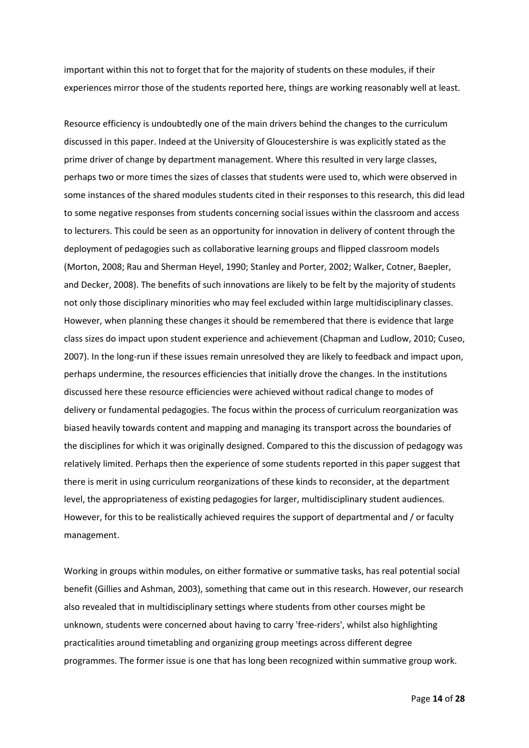important within this not to forget that for the majority of students on these modules, if their experiences mirror those of the students reported here, things are working reasonably well at least.

Resource efficiency is undoubtedly one of the main drivers behind the changes to the curriculum discussed in this paper. Indeed at the University of Gloucestershire is was explicitly stated as the prime driver of change by department management. Where this resulted in very large classes, perhaps two or more times the sizes of classes that students were used to, which were observed in some instances of the shared modules students cited in their responses to this research, this did lead to some negative responses from students concerning social issues within the classroom and access to lecturers. This could be seen as an opportunity for innovation in delivery of content through the deployment of pedagogies such as collaborative learning groups and flipped classroom models (Morton, 2008; Rau and Sherman Heyel, 1990; Stanley and Porter, 2002; Walker, Cotner, Baepler, and Decker, 2008). The benefits of such innovations are likely to be felt by the majority of students not only those disciplinary minorities who may feel excluded within large multidisciplinary classes. However, when planning these changes it should be remembered that there is evidence that large class sizes do impact upon student experience and achievement (Chapman and Ludlow, 2010; Cuseo, 2007). In the long-run if these issues remain unresolved they are likely to feedback and impact upon, perhaps undermine, the resources efficiencies that initially drove the changes. In the institutions discussed here these resource efficiencies were achieved without radical change to modes of delivery or fundamental pedagogies. The focus within the process of curriculum reorganization was biased heavily towards content and mapping and managing its transport across the boundaries of the disciplines for which it was originally designed. Compared to this the discussion of pedagogy was relatively limited. Perhaps then the experience of some students reported in this paper suggest that there is merit in using curriculum reorganizations of these kinds to reconsider, at the department level, the appropriateness of existing pedagogies for larger, multidisciplinary student audiences. However, for this to be realistically achieved requires the support of departmental and / or faculty management.

Working in groups within modules, on either formative or summative tasks, has real potential social benefit (Gillies and Ashman, 2003), something that came out in this research. However, our research also revealed that in multidisciplinary settings where students from other courses might be unknown, students were concerned about having to carry 'free-riders', whilst also highlighting practicalities around timetabling and organizing group meetings across different degree programmes. The former issue is one that has long been recognized within summative group work.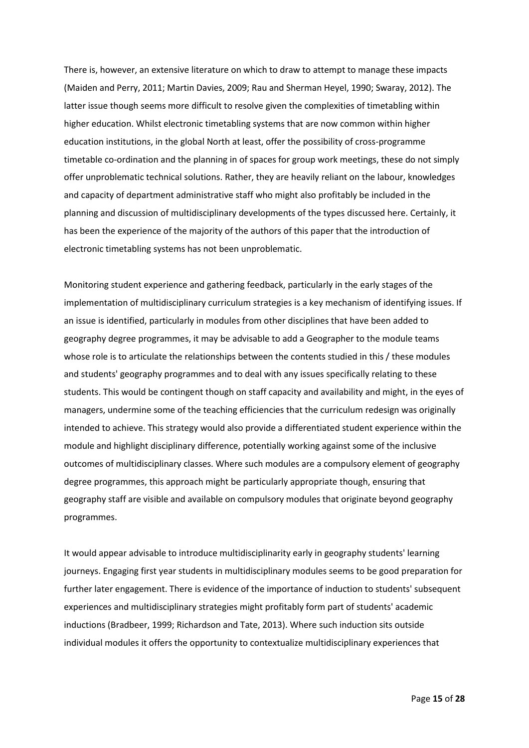There is, however, an extensive literature on which to draw to attempt to manage these impacts (Maiden and Perry, 2011; Martin Davies, 2009; Rau and Sherman Heyel, 1990; Swaray, 2012). The latter issue though seems more difficult to resolve given the complexities of timetabling within higher education. Whilst electronic timetabling systems that are now common within higher education institutions, in the global North at least, offer the possibility of cross-programme timetable co-ordination and the planning in of spaces for group work meetings, these do not simply offer unproblematic technical solutions. Rather, they are heavily reliant on the labour, knowledges and capacity of department administrative staff who might also profitably be included in the planning and discussion of multidisciplinary developments of the types discussed here. Certainly, it has been the experience of the majority of the authors of this paper that the introduction of electronic timetabling systems has not been unproblematic.

Monitoring student experience and gathering feedback, particularly in the early stages of the implementation of multidisciplinary curriculum strategies is a key mechanism of identifying issues. If an issue is identified, particularly in modules from other disciplines that have been added to geography degree programmes, it may be advisable to add a Geographer to the module teams whose role is to articulate the relationships between the contents studied in this / these modules and students' geography programmes and to deal with any issues specifically relating to these students. This would be contingent though on staff capacity and availability and might, in the eyes of managers, undermine some of the teaching efficiencies that the curriculum redesign was originally intended to achieve. This strategy would also provide a differentiated student experience within the module and highlight disciplinary difference, potentially working against some of the inclusive outcomes of multidisciplinary classes. Where such modules are a compulsory element of geography degree programmes, this approach might be particularly appropriate though, ensuring that geography staff are visible and available on compulsory modules that originate beyond geography programmes.

It would appear advisable to introduce multidisciplinarity early in geography students' learning journeys. Engaging first year students in multidisciplinary modules seems to be good preparation for further later engagement. There is evidence of the importance of induction to students' subsequent experiences and multidisciplinary strategies might profitably form part of students' academic inductions (Bradbeer, 1999; Richardson and Tate, 2013). Where such induction sits outside individual modules it offers the opportunity to contextualize multidisciplinary experiences that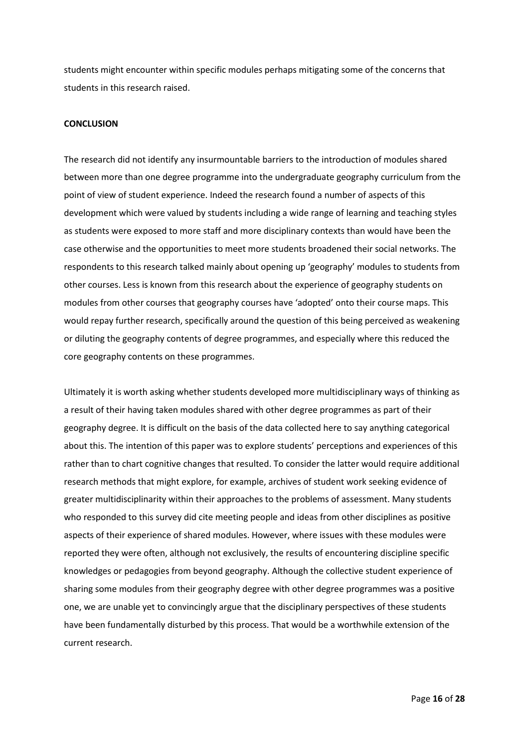students might encounter within specific modules perhaps mitigating some of the concerns that students in this research raised.

#### **CONCLUSION**

The research did not identify any insurmountable barriers to the introduction of modules shared between more than one degree programme into the undergraduate geography curriculum from the point of view of student experience. Indeed the research found a number of aspects of this development which were valued by students including a wide range of learning and teaching styles as students were exposed to more staff and more disciplinary contexts than would have been the case otherwise and the opportunities to meet more students broadened their social networks. The respondents to this research talked mainly about opening up 'geography' modules to students from other courses. Less is known from this research about the experience of geography students on modules from other courses that geography courses have 'adopted' onto their course maps. This would repay further research, specifically around the question of this being perceived as weakening or diluting the geography contents of degree programmes, and especially where this reduced the core geography contents on these programmes.

Ultimately it is worth asking whether students developed more multidisciplinary ways of thinking as a result of their having taken modules shared with other degree programmes as part of their geography degree. It is difficult on the basis of the data collected here to say anything categorical about this. The intention of this paper was to explore students' perceptions and experiences of this rather than to chart cognitive changes that resulted. To consider the latter would require additional research methods that might explore, for example, archives of student work seeking evidence of greater multidisciplinarity within their approaches to the problems of assessment. Many students who responded to this survey did cite meeting people and ideas from other disciplines as positive aspects of their experience of shared modules. However, where issues with these modules were reported they were often, although not exclusively, the results of encountering discipline specific knowledges or pedagogies from beyond geography. Although the collective student experience of sharing some modules from their geography degree with other degree programmes was a positive one, we are unable yet to convincingly argue that the disciplinary perspectives of these students have been fundamentally disturbed by this process. That would be a worthwhile extension of the current research.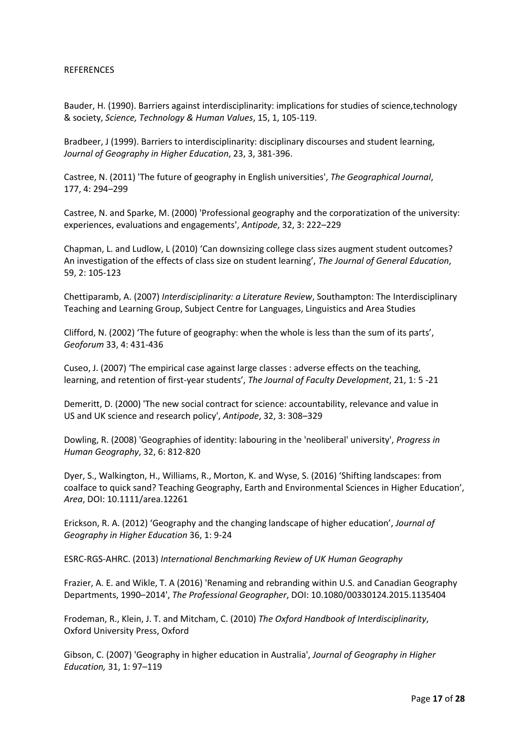#### REFERENCES

Bauder, H. (1990). Barriers against interdisciplinarity: implications for studies of science,technology & society, *Science, Technology & Human Values*, 15, 1, 105-119.

Bradbeer, J (1999). Barriers to interdisciplinarity: disciplinary discourses and student learning, *Journal of Geography in Higher Education*, 23, 3, 381-396.

Castree, N. (2011) 'The future of geography in English universities', *The Geographical Journal*, 177, 4: 294–299

Castree, N. and Sparke, M. (2000) 'Professional geography and the corporatization of the university: experiences, evaluations and engagements', *Antipode*, 32, 3: 222–229

Chapman, L. and Ludlow, L (2010) 'Can downsizing college class sizes augment student outcomes? An investigation of the effects of class size on student learning', *The Journal of General Education*, 59, 2: 105-123

Chettiparamb, A. (2007) *Interdisciplinarity: a Literature Review*, Southampton: The Interdisciplinary Teaching and Learning Group, Subject Centre for Languages, Linguistics and Area Studies

Clifford, N. (2002) 'The future of geography: when the whole is less than the sum of its parts', *Geoforum* 33, 4: 431-436

Cuseo, J. (2007) 'The empirical case against large classes : adverse effects on the teaching, learning, and retention of first-year students', *The Journal of Faculty Development*, 21, 1: 5 -21

Demeritt, D. (2000) 'The new social contract for science: accountability, relevance and value in US and UK science and research policy', *Antipode*, 32, 3: 308–329

Dowling, R. (2008) 'Geographies of identity: labouring in the 'neoliberal' university', *Progress in Human Geography*, 32, 6: 812-820

Dyer, S., Walkington, H., Williams, R., Morton, K. and Wyse, S. (2016) 'Shifting landscapes: from coalface to quick sand? Teaching Geography, Earth and Environmental Sciences in Higher Education', *Area*, DOI: 10.1111/area.12261

Erickson, R. A. (2012) 'Geography and the changing landscape of higher education', *Journal of Geography in Higher Education* 36, 1: 9-24

ESRC-RGS-AHRC. (2013) *International Benchmarking Review of UK Human Geography*

Frazier, A. E. and Wikle, T. A (2016) 'Renaming and rebranding within U.S. and Canadian Geography Departments, 1990–2014', *The Professional Geographer*, DOI: 10.1080/00330124.2015.1135404

Frodeman, R., Klein, J. T. and Mitcham, C. (2010) *The Oxford Handbook of Interdisciplinarity*, Oxford University Press, Oxford

Gibson, C. (2007) 'Geography in higher education in Australia', *Journal of Geography in Higher Education,* 31, 1: 97–119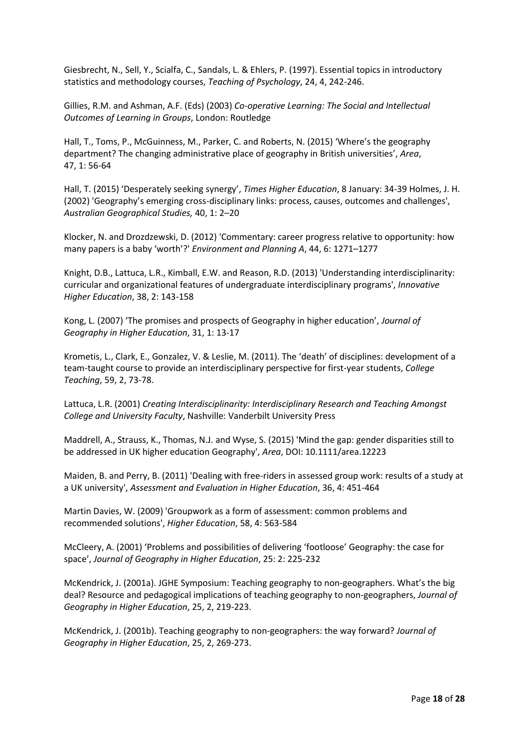Giesbrecht, N., Sell, Y., Scialfa, C., Sandals, L. & Ehlers, P. (1997). Essential topics in introductory statistics and methodology courses, *Teaching of Psychology*, 24, 4, 242-246.

Gillies, R.M. and Ashman, A.F. (Eds) (2003) *Co-operative Learning: The Social and Intellectual Outcomes of Learning in Groups*, London: Routledge

Hall, T., Toms, P., McGuinness, M., Parker, C. and Roberts, N. (2015) 'Where's the geography department? The changing administrative place of geography in British universities', *Area*, 47, 1: 56-64

Hall, T. (2015) 'Desperately seeking synergy', *Times Higher Education*, 8 January: 34-39 Holmes, J. H. (2002) 'Geography's emerging cross-disciplinary links: process, causes, outcomes and challenges', *Australian Geographical Studies,* 40, 1: 2–20

Klocker, N. and Drozdzewski, D. (2012) 'Commentary: career progress relative to opportunity: how many papers is a baby 'worth'?' *Environment and Planning A*, 44, 6: 1271–1277

Knight, D.B., Lattuca, L.R., Kimball, E.W. and Reason, R.D. (2013) 'Understanding interdisciplinarity: curricular and organizational features of undergraduate interdisciplinary programs', *Innovative Higher Education*, 38, 2: 143-158

Kong, L. (2007) 'The promises and prospects of Geography in higher education', *Journal of Geography in Higher Education*, 31, 1: 13-17

Krometis, L., Clark, E., Gonzalez, V. & Leslie, M. (2011). The 'death' of disciplines: development of a team-taught course to provide an interdisciplinary perspective for first-year students, *College Teaching*, 59, 2, 73-78.

Lattuca, L.R. (2001) *Creating Interdisciplinarity: Interdisciplinary Research and Teaching Amongst College and University Faculty*, Nashville: Vanderbilt University Press

Maddrell, A., Strauss, K., Thomas, N.J. and Wyse, S. (2015) 'Mind the gap: gender disparities still to be addressed in UK higher education Geography', *Area*, DOI: 10.1111/area.12223

Maiden, B. and Perry, B. (2011) 'Dealing with free-riders in assessed group work: results of a study at a UK university', *Assessment and Evaluation in Higher Education*, 36, 4: 451-464

Martin Davies, W. (2009) 'Groupwork as a form of assessment: common problems and recommended solutions', *Higher Education*, 58, 4: 563-584

McCleery, A. (2001) 'Problems and possibilities of delivering 'footloose' Geography: the case for space', *Journal of Geography in Higher Education*, 25: 2: 225-232

McKendrick, J. (2001a). JGHE Symposium: Teaching geography to non-geographers. What's the big deal? Resource and pedagogical implications of teaching geography to non-geographers, *Journal of Geography in Higher Education*, 25, 2, 219-223.

McKendrick, J. (2001b). Teaching geography to non-geographers: the way forward? *Journal of Geography in Higher Education*, 25, 2, 269-273.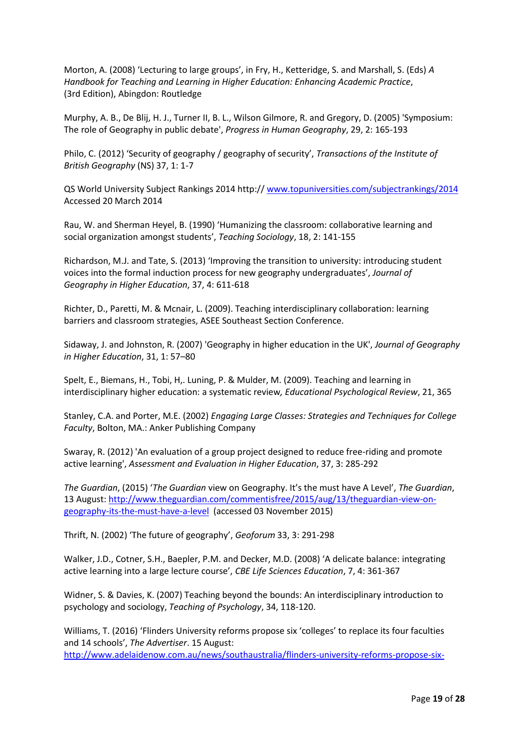Morton, A. (2008) 'Lecturing to large groups', in Fry, H., Ketteridge, S. and Marshall, S. (Eds) *A Handbook for Teaching and Learning in Higher Education: Enhancing Academic Practice*, (3rd Edition), Abingdon: Routledge

Murphy, A. B., De Blij, H. J., Turner II, B. L., Wilson Gilmore, R. and Gregory, D. (2005) 'Symposium: The role of Geography in public debate', *Progress in Human Geography*, 29, 2: 165-193

Philo, C. (2012) 'Security of geography / geography of security', *Transactions of the Institute of British Geography* (NS) 37, 1: 1-7

QS World University Subject Rankings 2014 http:// [www.topuniversities.com/subjectrankings/2014](http://www.topuniversities.com/subjectrankings/2014) Accessed 20 March 2014

Rau, W. and Sherman Heyel, B. (1990) 'Humanizing the classroom: collaborative learning and social organization amongst students', *Teaching Sociology*, 18, 2: 141-155

Richardson, M.J. and Tate, S. (2013) 'Improving the transition to university: introducing student voices into the formal induction process for new geography undergraduates', *Journal of Geography in Higher Education*, 37, 4: 611-618

Richter, D., Paretti, M. & Mcnair, L. (2009). Teaching interdisciplinary collaboration: learning barriers and classroom strategies, ASEE Southeast Section Conference.

Sidaway, J. and Johnston, R. (2007) 'Geography in higher education in the UK', *Journal of Geography in Higher Education*, 31, 1: 57–80

Spelt, E., Biemans, H., Tobi, H,. Luning, P. & Mulder, M. (2009). Teaching and learning in interdisciplinary higher education: a systematic review*, Educational Psychological Review*, 21, 365

Stanley, C.A. and Porter, M.E. (2002) *Engaging Large Classes: Strategies and Techniques for College Faculty*, Bolton, MA.: Anker Publishing Company

Swaray, R. (2012) 'An evaluation of a group project designed to reduce free-riding and promote active learning', *Assessment and Evaluation in Higher Education*, 37, 3: 285-292

*The Guardian*, (2015) '*The Guardian* view on Geography. It's the must have A Level', *The Guardian*, 13 August: [http://www.theguardian.com/commentisfree/2015/aug/13/theguardian-view-on](http://www.theguardian.com/commentisfree/2015/aug/13/theguardian-view-on-geography-its-the-must-have-a-level)[geography-its-the-must-have-a-level](http://www.theguardian.com/commentisfree/2015/aug/13/theguardian-view-on-geography-its-the-must-have-a-level) (accessed 03 November 2015)

Thrift, N. (2002) 'The future of geography', *Geoforum* 33, 3: 291-298

Walker, J.D., Cotner, S.H., Baepler, P.M. and Decker, M.D. (2008) 'A delicate balance: integrating active learning into a large lecture course', *CBE Life Sciences Education*, 7, 4: 361-367

Widner, S. & Davies, K. (2007) Teaching beyond the bounds: An interdisciplinary introduction to psychology and sociology, *Teaching of Psychology*, 34, 118-120.

Williams, T. (2016) 'Flinders University reforms propose six 'colleges' to replace its four faculties and 14 schools', *The Advertiser*. 15 August: [http://www.adelaidenow.com.au/news/southaustralia/flinders-university-reforms-propose-six-](http://www.adelaidenow.com.au/news/southaustralia/flinders-university-reforms-propose-six-colleges-to-replace-its-four-faculties-and-14-schools/news-story/0657a4402481dcd5f8186e2b7f4d3a1d)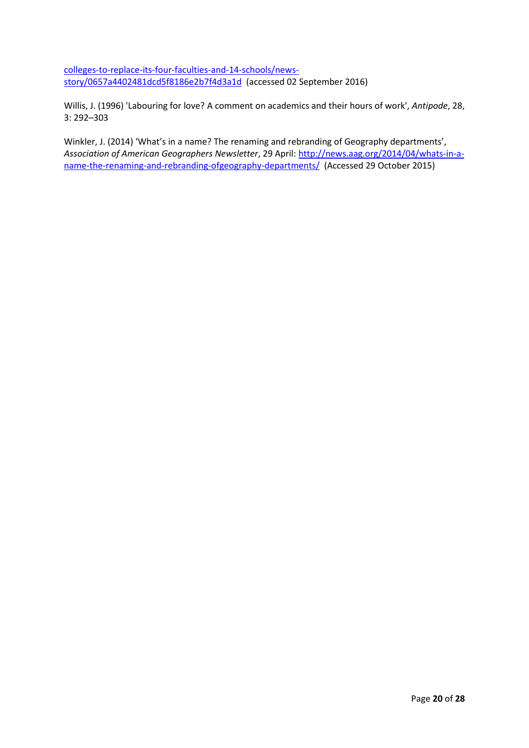[colleges-to-replace-its-four-faculties-and-14-schools/news](http://www.adelaidenow.com.au/news/southaustralia/flinders-university-reforms-propose-six-colleges-to-replace-its-four-faculties-and-14-schools/news-story/0657a4402481dcd5f8186e2b7f4d3a1d)[story/0657a4402481dcd5f8186e2b7f4d3a1d](http://www.adelaidenow.com.au/news/southaustralia/flinders-university-reforms-propose-six-colleges-to-replace-its-four-faculties-and-14-schools/news-story/0657a4402481dcd5f8186e2b7f4d3a1d) (accessed 02 September 2016)

Willis, J. (1996) 'Labouring for love? A comment on academics and their hours of work', *Antipode*, 28, 3: 292–303

Winkler, J. (2014) 'What's in a name? The renaming and rebranding of Geography departments', *Association of American Geographers Newsletter*, 29 April: [http://news.aag.org/2014/04/whats-in-a](http://news.aag.org/2014/04/whats-in-a-name-the-renaming-and-rebranding-ofgeography-departments/)[name-the-renaming-and-rebranding-ofgeography-departments/](http://news.aag.org/2014/04/whats-in-a-name-the-renaming-and-rebranding-ofgeography-departments/) (Accessed 29 October 2015)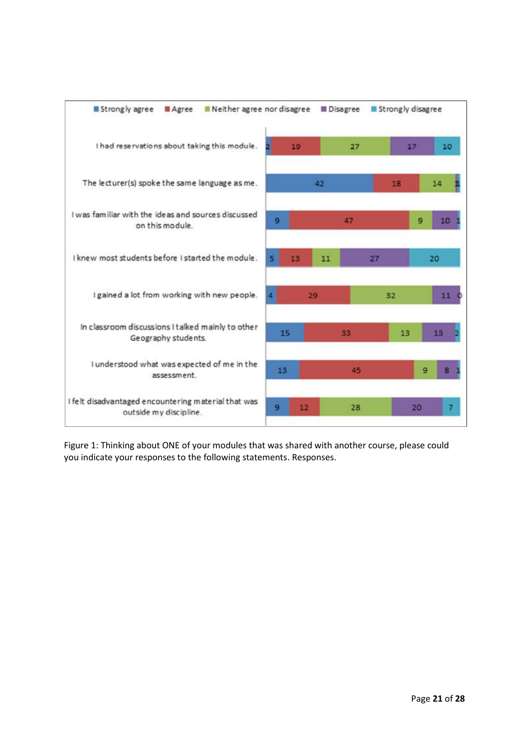

Figure 1: Thinking about ONE of your modules that was shared with another course, please could you indicate your responses to the following statements. Responses.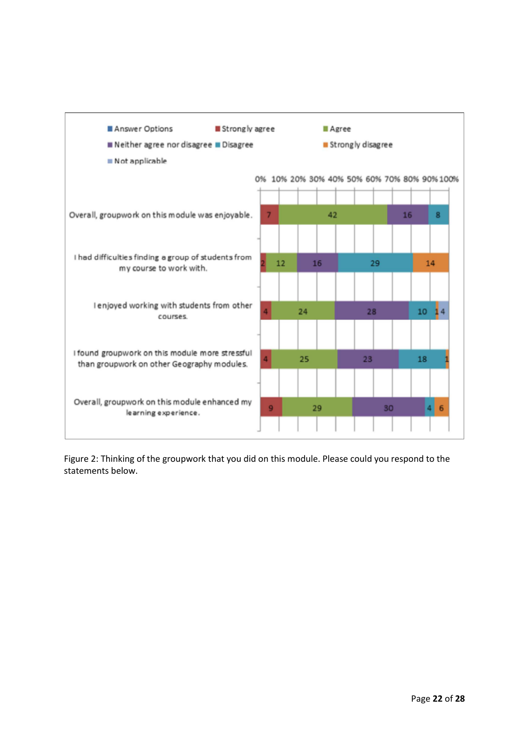

Figure 2: Thinking of the groupwork that you did on this module. Please could you respond to the statements below.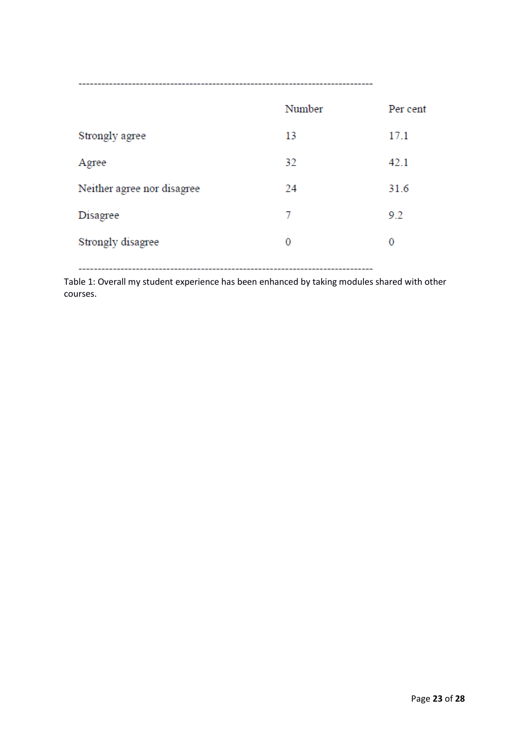|                            | Number | Per cent |
|----------------------------|--------|----------|
| Strongly agree             | 13     | 17.1     |
| Agree                      | 32     | 42.1     |
| Neither agree nor disagree | 24     | 31.6     |
| Disagree                   | 7      | 9.2      |
| Strongly disagree          | 0      | 0        |
|                            |        |          |

Table 1: Overall my student experience has been enhanced by taking modules shared with other courses.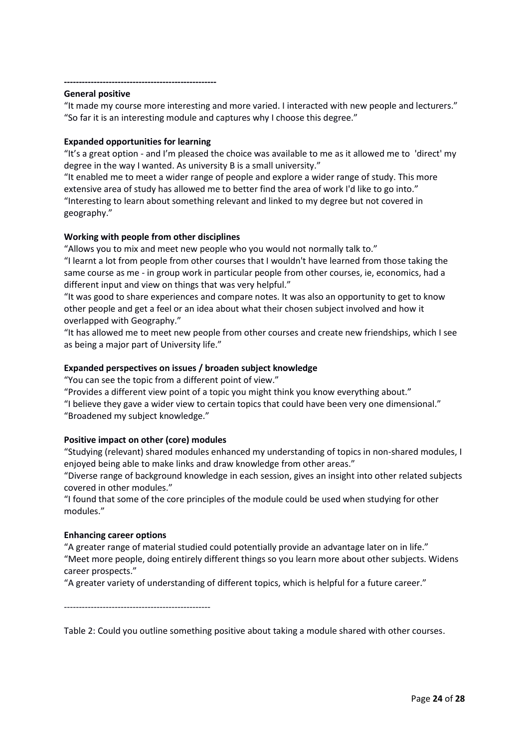#### **---------------------------------------------------**

### **General positive**

"It made my course more interesting and more varied. I interacted with new people and lecturers." "So far it is an interesting module and captures why I choose this degree."

# **Expanded opportunities for learning**

"It's a great option - and I'm pleased the choice was available to me as it allowed me to 'direct' my degree in the way I wanted. As university B is a small university."

"It enabled me to meet a wider range of people and explore a wider range of study. This more extensive area of study has allowed me to better find the area of work I'd like to go into." "Interesting to learn about something relevant and linked to my degree but not covered in geography."

# **Working with people from other disciplines**

"Allows you to mix and meet new people who you would not normally talk to." "I learnt a lot from people from other courses that I wouldn't have learned from those taking the same course as me - in group work in particular people from other courses, ie, economics, had a different input and view on things that was very helpful."

"It was good to share experiences and compare notes. It was also an opportunity to get to know other people and get a feel or an idea about what their chosen subject involved and how it overlapped with Geography."

"It has allowed me to meet new people from other courses and create new friendships, which I see as being a major part of University life."

# **Expanded perspectives on issues / broaden subject knowledge**

"You can see the topic from a different point of view."

"Provides a different view point of a topic you might think you know everything about."

"I believe they gave a wider view to certain topics that could have been very one dimensional." "Broadened my subject knowledge."

# **Positive impact on other (core) modules**

"Studying (relevant) shared modules enhanced my understanding of topics in non-shared modules, I enjoyed being able to make links and draw knowledge from other areas."

"Diverse range of background knowledge in each session, gives an insight into other related subjects covered in other modules."

"I found that some of the core principles of the module could be used when studying for other modules."

# **Enhancing career options**

"A greater range of material studied could potentially provide an advantage later on in life." "Meet more people, doing entirely different things so you learn more about other subjects. Widens career prospects."

"A greater variety of understanding of different topics, which is helpful for a future career."

-------------------------------------------------

Table 2: Could you outline something positive about taking a module shared with other courses.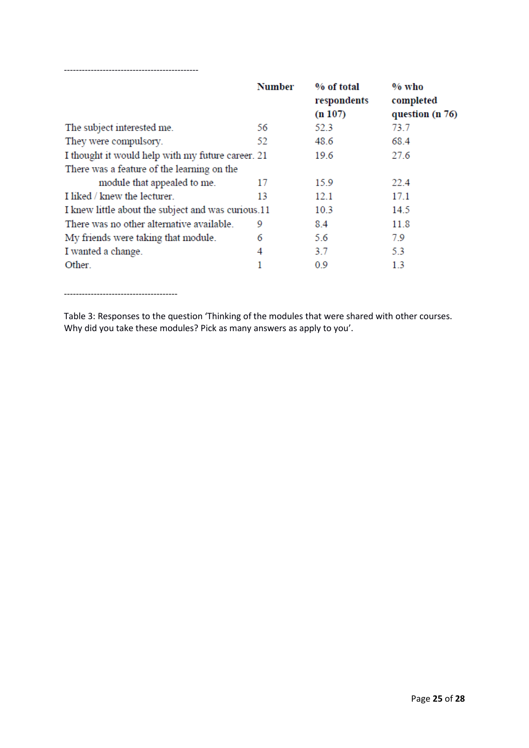|                                                    | <b>Number</b> | % of total<br>respondents<br>(n 107) | $%$ who<br>completed<br>question (n 76) |
|----------------------------------------------------|---------------|--------------------------------------|-----------------------------------------|
| The subject interested me.                         | 56            | 52.3                                 | 73.7                                    |
| They were compulsory.                              | 52            | 48.6                                 | 68.4                                    |
| I thought it would help with my future career. 21  |               | 19.6                                 | 27.6                                    |
| There was a feature of the learning on the         |               |                                      |                                         |
| module that appealed to me.                        | 17            | 15.9                                 | 22.4                                    |
| I liked / knew the lecturer.                       | 13            | 12.1                                 | 17.1                                    |
| I knew little about the subject and was curious.11 |               | 10.3                                 | 14.5                                    |
| There was no other alternative available.          | 9             | 8.4                                  | 11.8                                    |
| My friends were taking that module.                | 6             | 5.6                                  | 79                                      |
| I wanted a change.                                 | 4             | 37                                   | 5.3                                     |
| Other.                                             |               | 0.9                                  | 13                                      |

--------------------------------------

---------------------------------------------

Table 3: Responses to the question 'Thinking of the modules that were shared with other courses. Why did you take these modules? Pick as many answers as apply to you'.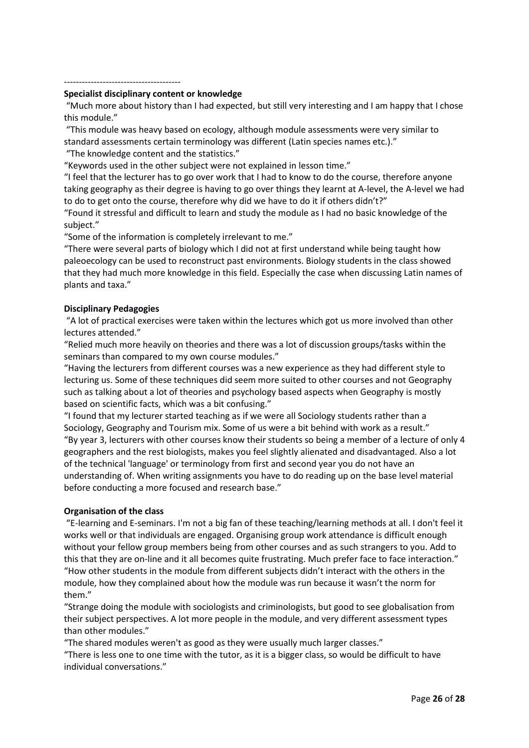#### ---------------------------------------

#### **Specialist disciplinary content or knowledge**

"Much more about history than I had expected, but still very interesting and I am happy that I chose this module."

"This module was heavy based on ecology, although module assessments were very similar to standard assessments certain terminology was different (Latin species names etc.)."

"The knowledge content and the statistics."

"Keywords used in the other subject were not explained in lesson time."

"I feel that the lecturer has to go over work that I had to know to do the course, therefore anyone taking geography as their degree is having to go over things they learnt at A-level, the A-level we had to do to get onto the course, therefore why did we have to do it if others didn't?"

"Found it stressful and difficult to learn and study the module as I had no basic knowledge of the subject."

"Some of the information is completely irrelevant to me."

"There were several parts of biology which I did not at first understand while being taught how paleoecology can be used to reconstruct past environments. Biology students in the class showed that they had much more knowledge in this field. Especially the case when discussing Latin names of plants and taxa."

# **Disciplinary Pedagogies**

"A lot of practical exercises were taken within the lectures which got us more involved than other lectures attended."

"Relied much more heavily on theories and there was a lot of discussion groups/tasks within the seminars than compared to my own course modules."

"Having the lecturers from different courses was a new experience as they had different style to lecturing us. Some of these techniques did seem more suited to other courses and not Geography such as talking about a lot of theories and psychology based aspects when Geography is mostly based on scientific facts, which was a bit confusing."

"I found that my lecturer started teaching as if we were all Sociology students rather than a Sociology, Geography and Tourism mix. Some of us were a bit behind with work as a result." "By year 3, lecturers with other courses know their students so being a member of a lecture of only 4 geographers and the rest biologists, makes you feel slightly alienated and disadvantaged. Also a lot of the technical 'language' or terminology from first and second year you do not have an understanding of. When writing assignments you have to do reading up on the base level material before conducting a more focused and research base."

# **Organisation of the class**

"E-learning and E-seminars. I'm not a big fan of these teaching/learning methods at all. I don't feel it works well or that individuals are engaged. Organising group work attendance is difficult enough without your fellow group members being from other courses and as such strangers to you. Add to this that they are on-line and it all becomes quite frustrating. Much prefer face to face interaction." "How other students in the module from different subjects didn't interact with the others in the module, how they complained about how the module was run because it wasn't the norm for them."

"Strange doing the module with sociologists and criminologists, but good to see globalisation from their subject perspectives. A lot more people in the module, and very different assessment types than other modules."

"The shared modules weren't as good as they were usually much larger classes."

"There is less one to one time with the tutor, as it is a bigger class, so would be difficult to have individual conversations."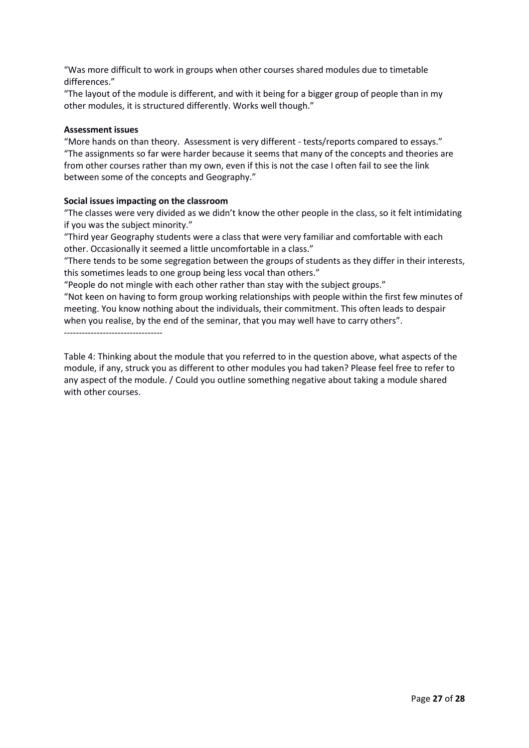"Was more difficult to work in groups when other courses shared modules due to timetable differences."

"The layout of the module is different, and with it being for a bigger group of people than in my other modules, it is structured differently. Works well though."

# **Assessment issues**

"More hands on than theory. Assessment is very different - tests/reports compared to essays." "The assignments so far were harder because it seems that many of the concepts and theories are from other courses rather than my own, even if this is not the case I often fail to see the link between some of the concepts and Geography."

# **Social issues impacting on the classroom**

"The classes were very divided as we didn't know the other people in the class, so it felt intimidating if you was the subject minority."

"Third year Geography students were a class that were very familiar and comfortable with each other. Occasionally it seemed a little uncomfortable in a class."

"There tends to be some segregation between the groups of students as they differ in their interests, this sometimes leads to one group being less vocal than others."

"People do not mingle with each other rather than stay with the subject groups."

"Not keen on having to form group working relationships with people within the first few minutes of meeting. You know nothing about the individuals, their commitment. This often leads to despair when you realise, by the end of the seminar, that you may well have to carry others".

---------------------------------

Table 4: Thinking about the module that you referred to in the question above, what aspects of the module, if any, struck you as different to other modules you had taken? Please feel free to refer to any aspect of the module. / Could you outline something negative about taking a module shared with other courses.